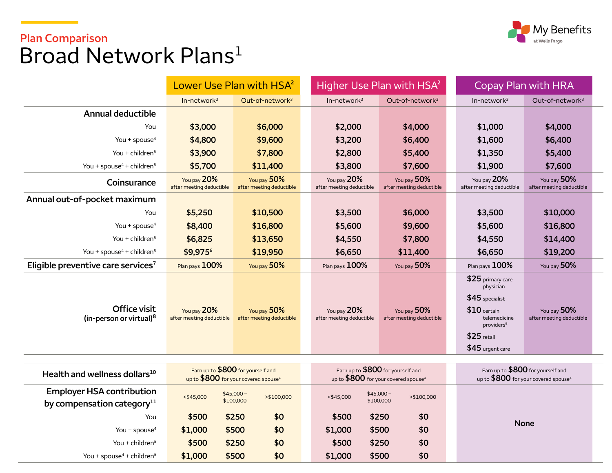

# **Plan Comparison**  Broad Network Plans<sup>[1](#page-2-0)</sup>

You + spouse<sup>4</sup> + children<sup>5</sup>

|                                                                   | Lower Use Plan with HSA <sup>2</sup>                                                  |                                         | Higher Use Plan with HSA <sup>2</sup>                                                  |                                                       | Copay Plan with HRA                                                                                                                               |                                         |  |
|-------------------------------------------------------------------|---------------------------------------------------------------------------------------|-----------------------------------------|----------------------------------------------------------------------------------------|-------------------------------------------------------|---------------------------------------------------------------------------------------------------------------------------------------------------|-----------------------------------------|--|
|                                                                   | $In-network3$                                                                         | Out-of-network <sup>3</sup>             | $In-network3$                                                                          | Out-of-network <sup>3</sup>                           | $In-network3$                                                                                                                                     | Out-of-network <sup>3</sup>             |  |
| <b>Annual deductible</b>                                          |                                                                                       |                                         |                                                                                        |                                                       |                                                                                                                                                   |                                         |  |
| You                                                               | \$3,000                                                                               | \$6,000                                 | \$2,000                                                                                | \$4,000                                               | \$1,000                                                                                                                                           | \$4,000                                 |  |
| You + spouse $4$                                                  | \$4,800                                                                               | \$9,600                                 | \$3,200                                                                                | \$6,400                                               | \$1,600                                                                                                                                           | \$6,400                                 |  |
| You + children $5$                                                | \$3,900                                                                               | \$7,800                                 | \$2,800                                                                                | \$5,400                                               | \$1,350                                                                                                                                           | \$5,400                                 |  |
| You + spouse <sup>4</sup> + children <sup>5</sup>                 | \$5,700                                                                               | \$11,400                                | \$3,800                                                                                | \$7,600                                               | \$1,900                                                                                                                                           | \$7,600                                 |  |
| Coinsurance                                                       | You pay 20%<br>after meeting deductible                                               | You pay 50%<br>after meeting deductible | You pay 20%<br>after meeting deductible                                                | You pay 50%<br>after meeting deductible               | You pay 20%<br>after meeting deductible                                                                                                           | You pay 50%<br>after meeting deductible |  |
| Annual out-of-pocket maximum                                      |                                                                                       |                                         |                                                                                        |                                                       |                                                                                                                                                   |                                         |  |
| You                                                               | \$5,250                                                                               | \$10,500                                | \$3,500                                                                                | \$6,000                                               | \$3,500                                                                                                                                           | \$10,000                                |  |
| You + spouse $4$                                                  | \$8,400                                                                               | \$16,800                                | \$5,600                                                                                | \$9,600                                               | \$5,600                                                                                                                                           | \$16,800                                |  |
| You + children $5$                                                | \$6,825                                                                               | \$13,650                                | \$4,550                                                                                | \$7,800                                               | \$4,550                                                                                                                                           | \$14,400                                |  |
| You + spouse <sup>4</sup> + children <sup>5</sup>                 | \$9,9756                                                                              | \$19,950                                | \$6,650                                                                                | \$11,400                                              | \$6,650                                                                                                                                           | \$19,200                                |  |
| Eligible preventive care services <sup>7</sup>                    | Plan pays 100%                                                                        | You pay 50%                             | Plan pays 100%                                                                         | You pay 50%                                           | Plan pays 100%                                                                                                                                    | You pay 50%                             |  |
| Office visit<br>(in-person or virtual) <sup>8</sup>               | You pay 20%<br>after meeting deductible                                               | You pay 50%<br>after meeting deductible | You pay 20%<br>after meeting deductible                                                | You pay 50%<br>after meeting deductible               | \$25 primary care<br>physician<br>$$45$ specialist<br>$$10$ certain<br>telemedicine<br>providers <sup>9</sup><br>$$25$ retail<br>\$45 urgent care | You pay 50%<br>after meeting deductible |  |
| Health and wellness dollars <sup>10</sup>                         | Earn up to \$800 for yourself and<br>up to \$800 for your covered spouse <sup>4</sup> |                                         | Earn up to \$800 for yourself and<br>up to $$800$ for your covered spouse <sup>4</sup> |                                                       | Earn up to \$800 for yourself and<br>up to $$800$ for your covered spouse <sup>4</sup>                                                            |                                         |  |
| <b>Employer HSA contribution</b><br>by compensation category $11$ | $<$ \$45,000                                                                          | $$45,000-$<br>>\$100,000<br>\$100,000   |                                                                                        | $$45,000-$<br>$<$ \$45,000<br>>\$100,000<br>\$100,000 |                                                                                                                                                   |                                         |  |
| You                                                               | \$500                                                                                 | \$250<br>\$0                            | \$500                                                                                  | \$250<br>\$0                                          | <b>None</b>                                                                                                                                       |                                         |  |
| You + spouse <sup>4</sup>                                         | \$1,000                                                                               | \$500<br>\$0                            | \$1,000                                                                                | \$500<br>\$0                                          |                                                                                                                                                   |                                         |  |
| You + children <sup>5</sup>                                       | \$500                                                                                 | \$0<br>\$250                            | \$500                                                                                  | \$250<br>\$0                                          |                                                                                                                                                   |                                         |  |

+ childre[n5](#page-2-0) **\$1,000 \$500 \$0 \$1,000 \$500 \$0**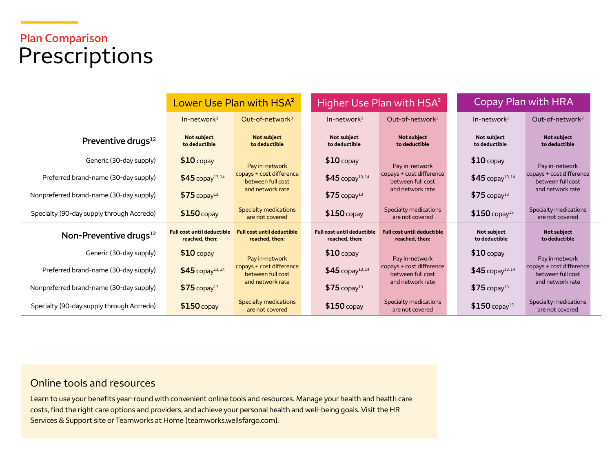# **Plan Comparison**  Prescriptions

|                                           | Lower Use Plan with HSA <sup>2</sup>                |                                                     | Higher Use Plan with HSA <sup>2</sup>               |                                                     | Copay Plan with HRA                 |                                               |
|-------------------------------------------|-----------------------------------------------------|-----------------------------------------------------|-----------------------------------------------------|-----------------------------------------------------|-------------------------------------|-----------------------------------------------|
|                                           | $In-network3$                                       | Out-of-network <sup>3</sup>                         | $In-network3$                                       | Out-of-network <sup>3</sup>                         | $In-network3$                       | Out-of-network <sup>3</sup>                   |
| Preventive drugs <sup>12</sup>            | <b>Not subject</b><br>to deductible                 | <b>Not subject</b><br>to deductible                 | <b>Not subject</b><br>to deductible                 | <b>Not subject</b><br>to deductible                 | <b>Not subject</b><br>to deductible | <b>Not subject</b><br>to deductible           |
| Generic (30-day supply)                   | $$10$ copay                                         | Pay in-network                                      | $$10$ copay                                         | Pay in-network                                      | $$10$ copay                         | Pay in-network                                |
| Preferred brand-name (30-day supply)      | $$45$ copay <sup>13,14</sup>                        | copays + cost difference<br>between full cost       | $$45$ copay <sup>13,14</sup>                        | copays + cost difference<br>between full cost       | $$45$ copay <sup>13,14</sup>        | copays + cost difference<br>between full cost |
| Nonpreferred brand-name (30-day supply)   | $$75$ copay <sup>13</sup>                           | and network rate                                    | $$75$ copay <sup>13</sup>                           | and network rate                                    | $$75$ copay <sup>13</sup>           | and network rate                              |
| Specialty (90-day supply through Accredo) | $$150$ copay                                        | Specialty medications<br>are not covered            | $$150$ copay                                        | Specialty medications<br>are not covered            | $$150$ copay <sup>15</sup>          | Specialty medications<br>are not covered      |
| Non-Preventive drugs $^{12}$              | <b>Full cost until deductible</b><br>reached, then: | <b>Full cost until deductible</b><br>reached, then: | <b>Full cost until deductible</b><br>reached, then: | <b>Full cost until deductible</b><br>reached, then: | <b>Not subject</b><br>to deductible | <b>Not subject</b><br>to deductible           |
| Generic (30-day supply)                   | $$10$ copay                                         | Pay in-network                                      | $$10$ copay                                         | Pay in-network                                      | $$10$ copay                         | Pay in-network                                |
| Preferred brand-name (30-day supply)      | $$45$ copay <sup>13,14</sup>                        | copays + cost difference<br>between full cost       | $$45$ copay <sup>13,14</sup>                        | copays + cost difference<br>between full cost       | $$45$ copay <sup>13,14</sup>        | copays + cost difference<br>between full cost |
| Nonpreferred brand-name (30-day supply)   | $$75$ copay <sup>13</sup>                           | and network rate                                    | $$75$ copay <sup>13</sup>                           | and network rate                                    | $$75$ copay <sup>13</sup>           | and network rate                              |
| Specialty (90-day supply through Accredo) | $$150$ copay                                        | Specialty medications<br>are not covered            | $$150$ copay                                        | Specialty medications<br>are not covered            | $$150$ copay <sup>15</sup>          | Specialty medications<br>are not covered      |

### Online tools and resources

Learn to use your benefits year-round with convenient online tools and resources. Manage your health and health care costs, find the right care options and providers, and achieve your personal health and well-being goals. Visit the HR Services & Support site or Teamworks at Home [\(teamworks.wellsfargo.com\)](http://www.teamworks.wellsfargo.com).